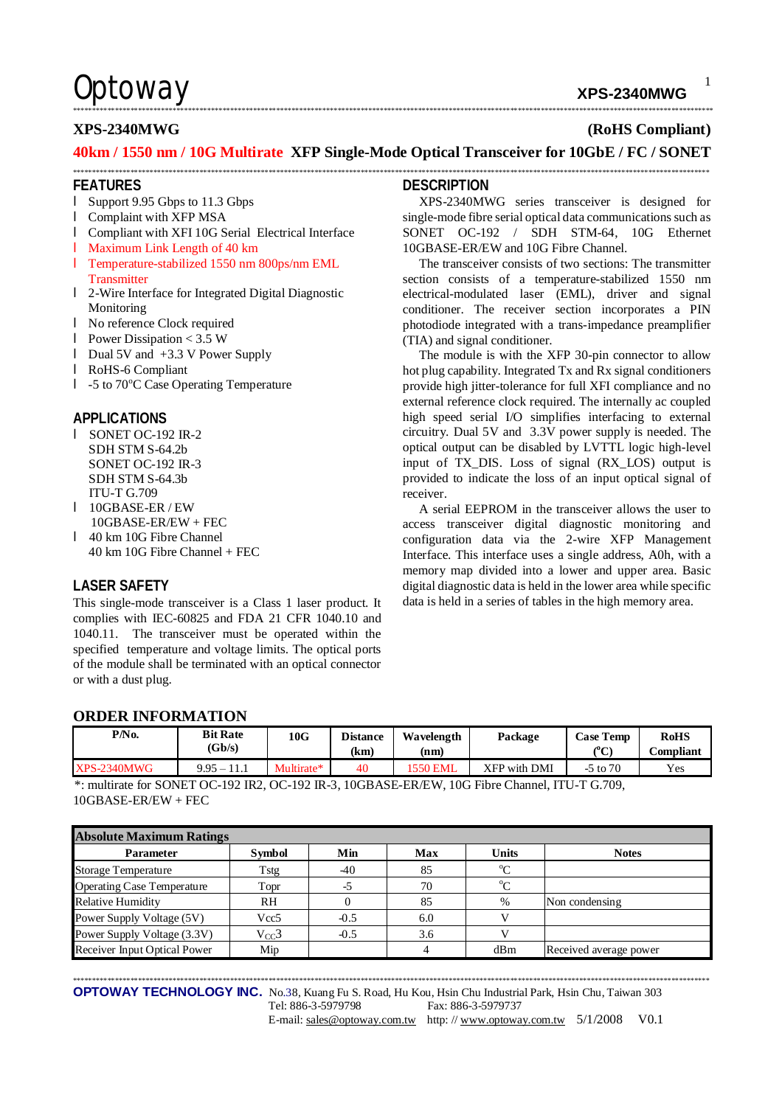# Optoway **XPS-2340MWG**

### \*\*\*\*\*\*\*\*\*\*\*\*\*\*\*\*\*\*\*\*\*\*\*\*\*\*\*\*\*\*\*\*\*\*\*\*\*\*\*\*\*\*\*\*\*\*\*\*\*\*\*\*\*\*\*\*\*\*\*\*\*\*\*\*\*\*\*\*\*\*\*\*\*\*\*\*\*\*\*\*\*\*\*\*\*\*\*\*\*\*\*\*\*\*\*\*\*\*\*\*\*\*\*\*\*\*\*\*\*\*\*\*\*\*\*\*\*\*\*\*\*\*\*\*\*\*\*\*\*\*\*\*\*\*\*\*\*\*\*\*\*\*\*\*\*\*\*\*\*\*\*\*\*\*\*\*\*\*\*\*\*\*\*\*\*\*\*

## **XPS-2340MWG (RoHS Compliant)**

### **40km / 1550 nm / 10G Multirate XFP Single-Mode Optical Transceiver for 10GbE / FC / SONET**  \*\*\*\*\*\*\*\*\*\*\*\*\*\*\*\*\*\*\*\*\*\*\*\*\*\*\*\*\*\*\*\*\*\*\*\*\*\*\*\*\*\*\*\*\*\*\*\*\*\*\*\*\*\*\*\*\*\*\*\*\*\*\*\*\*\*\*\*\*\*\*\*\*\*\*\*\*\*\*\*\*\*\*\*\*\*\*\*\*\*\*\*\*\*\*\*\*\*\*\*\*\*\*\*\*\*\*\*\*\*\*\*\*\*\*\*\*\*\*\*\*\*\*\*\*\*\*\*\*\*\*\*\*\*\*\*\*\*\*\*\*\*\*\*\*\*\*\*\*\*\*\*\*\*\*\*\*\*\*\*\*\*\*\*\*\*

### **FEATURES**

- l Support 9.95 Gbps to 11.3 Gbps
- l Complaint with XFP MSA
- l Compliant with XFI 10G Serial Electrical Interface
- l Maximum Link Length of 40 km
- l Temperature-stabilized 1550 nm 800ps/nm EML
- **Transmitter**
- l 2-Wire Interface for Integrated Digital Diagnostic Monitoring
- l No reference Clock required
- l Power Dissipation < 3.5 W
- l Dual 5V and +3.3 V Power Supply
- l RoHS-6 Compliant
- l -5 to 70°C Case Operating Temperature

### **APPLICATIONS**

- l SONET OC-192 IR-2 SDH STM S-64.2b SONET OC-192 IR-3 SDH STM S-64.3b ITU-T G.709
- l 10GBASE-ER / EW 10GBASE-ER/EW + FEC
- l 40 km 10G Fibre Channel 40 km 10G Fibre Channel + FEC

### **LASER SAFETY**

This single-mode transceiver is a Class 1 laser product. It complies with IEC-60825 and FDA 21 CFR 1040.10 and 1040.11. The transceiver must be operated within the specified temperature and voltage limits. The optical ports of the module shall be terminated with an optical connector or with a dust plug.

### **DESCRIPTION**

XPS-2340MWG series transceiver is designed for single-mode fibre serial optical data communications such as SONET OC-192 / SDH STM-64, 10G Ethernet 10GBASE-ER/EW and 10G Fibre Channel.

The transceiver consists of two sections: The transmitter section consists of a temperature-stabilized 1550 nm electrical-modulated laser (EML), driver and signal conditioner. The receiver section incorporates a PIN photodiode integrated with a trans-impedance preamplifier (TIA) and signal conditioner.

The module is with the XFP 30-pin connector to allow hot plug capability. Integrated Tx and Rx signal conditioners provide high jitter-tolerance for full XFI compliance and no external reference clock required. The internally ac coupled high speed serial I/O simplifies interfacing to external circuitry. Dual 5V and 3.3V power supply is needed. The optical output can be disabled by LVTTL logic high-level input of TX\_DIS. Loss of signal (RX\_LOS) output is provided to indicate the loss of an input optical signal of receiver.

A serial EEPROM in the transceiver allows the user to access transceiver digital diagnostic monitoring and configuration data via the 2-wire XFP Management Interface. This interface uses a single address, A0h, with a memory map divided into a lower and upper area. Basic digital diagnostic data is held in the lower area while specific data is held in a series of tables in the high memory area.

## **ORDER INFORMATION**

| P/N <sub>0</sub> | <b>Bit Rate</b><br>(Gb/s) | 10G        | <b>Distance</b><br>(km) | Wavelength<br>(nm) | Package      | <b>Case Temp</b><br>$\rho_{\mathbf{C}}$<br>◡ | <b>RoHS</b><br>Compliant |
|------------------|---------------------------|------------|-------------------------|--------------------|--------------|----------------------------------------------|--------------------------|
| $XPS-2340MWG$    | $9.95 - 11.1$             | Multirate* | 40                      | <b>'550 EML</b>    | XFP with DMI | $-5$ to $70$                                 | Yes                      |

\*: multirate for SONET OC-192 IR2, OC-192 IR-3, 10GBASE-ER/EW, 10G Fibre Channel, ITU-T G.709, 10GBASE-ER/EW + FEC

| <b>Absolute Maximum Ratings</b>   |                  |        |     |              |                        |  |  |  |
|-----------------------------------|------------------|--------|-----|--------------|------------------------|--|--|--|
| <b>Parameter</b>                  | <b>Symbol</b>    | Min    | Max | <b>Units</b> | <b>Notes</b>           |  |  |  |
| <b>Storage Temperature</b>        | Tstg             | -40    | 85  | $\rm ^{o}C$  |                        |  |  |  |
| <b>Operating Case Temperature</b> | Topr             | -5     | 70  | $\rm ^{o}C$  |                        |  |  |  |
| <b>Relative Humidity</b>          | <b>RH</b>        |        | 85  | %            | Non condensing         |  |  |  |
| Power Supply Voltage (5V)         | Vcc <sub>5</sub> | $-0.5$ | 6.0 |              |                        |  |  |  |
| Power Supply Voltage (3.3V)       | $V_{CC}$ 3       | $-0.5$ | 3.6 |              |                        |  |  |  |
| Receiver Input Optical Power      | Mip              |        |     | dBm          | Received average power |  |  |  |

\*\*\*\*\*\*\*\*\*\*\*\*\*\*\*\*\*\*\*\*\*\*\*\*\*\*\*\*\*\*\*\*\*\*\*\*\*\*\*\*\*\*\*\*\*\*\*\*\*\*\*\*\*\*\*\*\*\*\*\*\*\*\*\*\*\*\*\*\*\*\*\*\*\*\*\*\*\*\*\*\*\*\*\*\*\*\*\*\*\*\*\*\*\*\*\*\*\*\*\*\*\*\*\*\*\*\*\*\*\*\*\*\*\*\*\*\*\*\*\*\*\*\*\*\*\*\*\*\*\*\*\*\*\*\*\*\*\*\*\*\*\*\*\*\*\*\*\*\*\*\*\*\*\*\*\*\*\*\*\*\*\*\*\*\*\*

**OPTOWAY TECHNOLOGY INC.** No.38, Kuang Fu S. Road, Hu Kou, Hsin Chu Industrial Park, Hsin Chu, Taiwan 303 Tel: 886-3-5979798 Fax: 886-3-5979737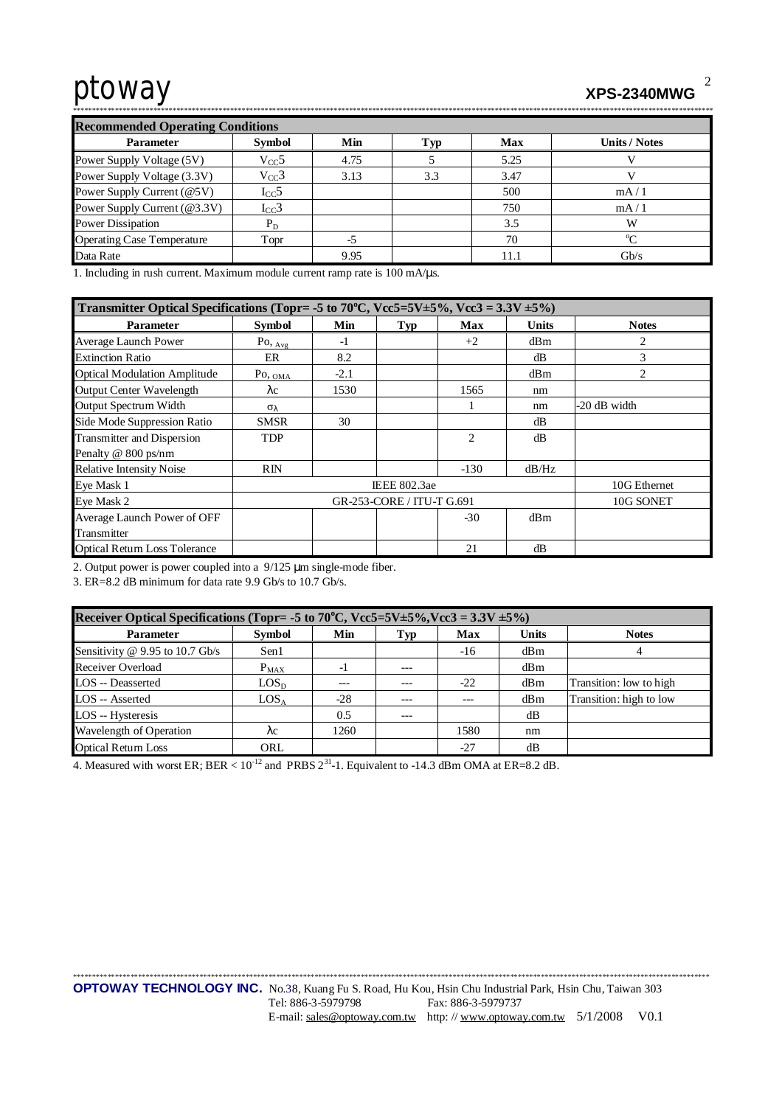# ptoway **XPS-2340MWG**

\*\*\*\*\*\*\*\*\*\*\*\*\*\*\*\*\*\*\*\*\*\*\*\*\*\*\*\*\*\*\*\*\*\*\*\*\*\*\*\*\*\*\*\*\*\*\*\*\*\*\*\*\*\*\*\*\*\*\*\*\*\*\*\*\*\*\*\*\*\*\*\*\*\*\*\*\*\*\*\*\*\*\*\*\*\*\*\*\*\*\*\*\*\*\*\*\*\*\*\*\*\*\*\*\*\*\*\*\*\*\*\*\*\*\*\*\*\*\*\*\*\*\*\*\*\*\*\*\*\*\*\*\*\*\*\*\*\*\*\*\*\*\*\*\*\*\*\*\*\*\*\*\*\*\*\*\*\*\*\*\*\*\*\*\*\*\*

| <b>Recommended Operating Conditions</b> |               |      |     |            |                      |  |  |  |  |
|-----------------------------------------|---------------|------|-----|------------|----------------------|--|--|--|--|
| <b>Parameter</b>                        | <b>Symbol</b> | Min  | Tур | <b>Max</b> | <b>Units / Notes</b> |  |  |  |  |
| Power Supply Voltage (5V)               | $V_{CC}$ 5    | 4.75 |     | 5.25       |                      |  |  |  |  |
| Power Supply Voltage (3.3V)             | $V_{CC}$ 3    | 3.13 | 3.3 | 3.47       |                      |  |  |  |  |
| Power Supply Current (@5V)              | $I_{CC}$ 5    |      |     | 500        | mA/1                 |  |  |  |  |
| Power Supply Current (@3.3V)            | $I_{CC}$ 3    |      |     | 750        | mA/1                 |  |  |  |  |
| <b>Power Dissipation</b>                | $P_D$         |      |     | 3.5        | W                    |  |  |  |  |
| <b>Operating Case Temperature</b>       | Topr          | -5   |     | 70         | $\sim$               |  |  |  |  |
| Data Rate                               |               | 9.95 |     | 11.1       | Gb/s                 |  |  |  |  |

1. Including in rush current. Maximum module current ramp rate is 100 mA/μs.

| Transmitter Optical Specifications (Topr= -5 to 70°C, Vcc5=5V±5%, Vcc3 = $3.3V \pm 5\%$ ) |                                        |        |                           |                |       |              |  |  |
|-------------------------------------------------------------------------------------------|----------------------------------------|--------|---------------------------|----------------|-------|--------------|--|--|
| <b>Parameter</b>                                                                          | Symbol                                 | Min    | Typ                       | Max            | Units | <b>Notes</b> |  |  |
| <b>Average Launch Power</b>                                                               | $P_{\text{O}, \underline{\text{Avg}}}$ | -1     |                           | $+2$           | dBm   | 2            |  |  |
| <b>Extinction Ratio</b>                                                                   | ER                                     | 8.2    |                           |                | dB    | 3            |  |  |
| <b>Optical Modulation Amplitude</b>                                                       | $P_{\text{O}, \text{OMA}}$             | $-2.1$ |                           |                | dBm   | 2            |  |  |
| Output Center Wavelength                                                                  | $\lambda c$                            | 1530   |                           | 1565           | nm    |              |  |  |
| Output Spectrum Width                                                                     | $\sigma_{\lambda}$                     |        |                           |                | nm    | -20 dB width |  |  |
| Side Mode Suppression Ratio                                                               | <b>SMSR</b>                            | 30     |                           |                | dB    |              |  |  |
| Transmitter and Dispersion                                                                | <b>TDP</b>                             |        |                           | $\overline{2}$ | dB    |              |  |  |
| Penalty @ 800 ps/nm                                                                       |                                        |        |                           |                |       |              |  |  |
| <b>Relative Intensity Noise</b>                                                           | RIN                                    |        |                           | $-130$         | dB/Hz |              |  |  |
| Eye Mask 1                                                                                |                                        |        | <b>IEEE 802.3ae</b>       |                |       | 10G Ethernet |  |  |
| Eye Mask 2                                                                                |                                        |        | GR-253-CORE / ITU-T G.691 |                |       | 10G SONET    |  |  |
| Average Launch Power of OFF                                                               |                                        |        |                           | $-30$          | dBm   |              |  |  |
| Transmitter                                                                               |                                        |        |                           |                |       |              |  |  |
| <b>Optical Return Loss Tolerance</b>                                                      |                                        |        |                           | 21             | dB    |              |  |  |

2. Output power is power coupled into a 9/125 μm single-mode fiber.

3. ER=8.2 dB minimum for data rate 9.9 Gb/s to 10.7 Gb/s.

| Receiver Optical Specifications (Topr= -5 to 70 <sup>o</sup> C, Vcc5=5V±5%, Vcc3 = 3.3V ±5%) |                  |                |       |       |              |                         |  |  |
|----------------------------------------------------------------------------------------------|------------------|----------------|-------|-------|--------------|-------------------------|--|--|
| <b>Parameter</b>                                                                             | <b>Symbol</b>    | Min            | Typ   | Max   | <b>Units</b> | <b>Notes</b>            |  |  |
| Sensitivity @ 9.95 to 10.7 Gb/s                                                              | Sen1             |                |       | $-16$ | dBm          | 4                       |  |  |
| Receiver Overload                                                                            | $P_{MAX}$        | $\overline{a}$ | ---   |       | dBm          |                         |  |  |
| LOS -- Deasserted                                                                            | LOS <sub>D</sub> | ---            | $---$ | $-22$ | dBm          | Transition: low to high |  |  |
| LOS -- Asserted                                                                              | LOS <sub>A</sub> | $-28$          | $---$ |       | dBm          | Transition: high to low |  |  |
| LOS -- Hysteresis                                                                            |                  | 0.5            | $---$ |       | dB           |                         |  |  |
| Wavelength of Operation                                                                      | $\lambda c$      | 1260           |       | 1580  | nm           |                         |  |  |
| <b>Optical Return Loss</b>                                                                   | ORL              |                |       | $-27$ | dB           |                         |  |  |

4. Measured with worst ER; BER  $< 10^{-12}$  and PRBS  $2^{31}$ -1. Equivalent to -14.3 dBm OMA at ER=8.2 dB.

2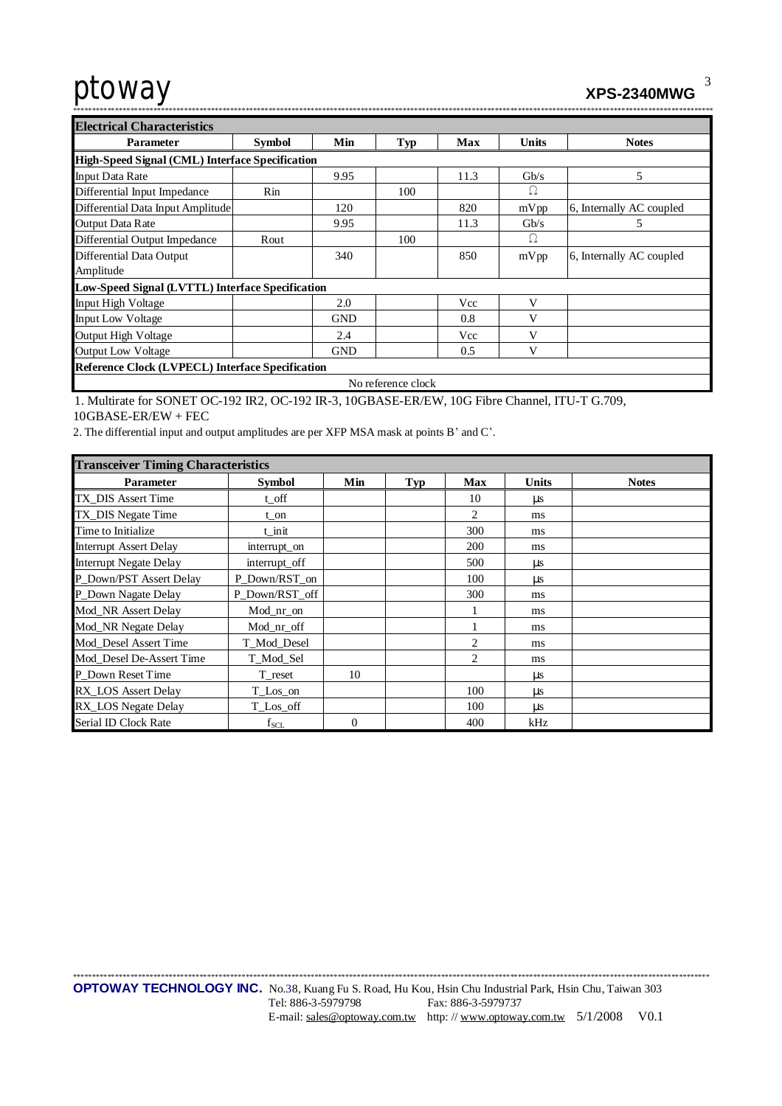3

| <b>Electrical Characteristics</b>                       |               |            |                    |      |              |                          |  |  |
|---------------------------------------------------------|---------------|------------|--------------------|------|--------------|--------------------------|--|--|
| <b>Parameter</b>                                        | <b>Symbol</b> | Min        | Typ                | Max  | <b>Units</b> | <b>Notes</b>             |  |  |
| High-Speed Signal (CML) Interface Specification         |               |            |                    |      |              |                          |  |  |
| <b>Input Data Rate</b>                                  |               | 9.95       |                    | 11.3 | Gb/s         | 5                        |  |  |
| Differential Input Impedance                            | Rin           |            | 100                |      | Ω            |                          |  |  |
| Differential Data Input Amplitude                       |               | 120        |                    | 820  | mVpp         | 6, Internally AC coupled |  |  |
| <b>Output Data Rate</b>                                 |               | 9.95       |                    | 11.3 | Gb/s         | 5                        |  |  |
| Differential Output Impedance                           | Rout          |            | 100                |      | Ω            |                          |  |  |
| Differential Data Output<br>Amplitude                   |               | 340        |                    | 850  | mVpp         | 6, Internally AC coupled |  |  |
| Low-Speed Signal (LVTTL) Interface Specification        |               |            |                    |      |              |                          |  |  |
| Input High Voltage                                      |               | 2.0        |                    | Vcc  | V            |                          |  |  |
| <b>Input Low Voltage</b>                                |               | <b>GND</b> |                    | 0.8  | V            |                          |  |  |
| <b>Output High Voltage</b>                              |               | 2.4        |                    | Vcc  | V            |                          |  |  |
| <b>Output Low Voltage</b>                               |               | <b>GND</b> |                    | 0.5  | $\mathbf{V}$ |                          |  |  |
| <b>Reference Clock (LVPECL) Interface Specification</b> |               |            |                    |      |              |                          |  |  |
|                                                         |               |            | No reference clock |      |              |                          |  |  |

1. Multirate for SONET OC-192 IR2, OC-192 IR-3, 10GBASE-ER/EW, 10G Fibre Channel, ITU-T G.709,  $10GBASE-ER/EW + FEC$ 

2. The differential input and output amplitudes are per XFP MSA mask at points B' and C'.

| <b>Transceiver Timing Characteristics</b> |                |          |     |                |              |              |  |  |  |
|-------------------------------------------|----------------|----------|-----|----------------|--------------|--------------|--|--|--|
| <b>Parameter</b>                          | <b>Symbol</b>  | Min      | Typ | <b>Max</b>     | <b>Units</b> | <b>Notes</b> |  |  |  |
| TX_DIS Assert Time                        | t off          |          |     | 10             | $\mu$ s      |              |  |  |  |
| TX_DIS Negate Time                        | $t$ on         |          |     | $\mathfrak{D}$ | ms           |              |  |  |  |
| Time to Initialize                        | t init         |          |     | 300            | ms           |              |  |  |  |
| <b>Interrupt Assert Delay</b>             | interrupt_on   |          |     | 200            | ms           |              |  |  |  |
| <b>Interrupt Negate Delay</b>             | interrupt_off  |          |     | 500            | $\mu$ s      |              |  |  |  |
| P_Down/PST Assert Delay                   | P_Down/RST_on  |          |     | 100            | μs           |              |  |  |  |
| P_Down Nagate Delay                       | P Down/RST off |          |     | 300            | ms           |              |  |  |  |
| Mod_NR Assert Delay                       | $Mod_nr\_on$   |          |     |                | ms           |              |  |  |  |
| Mod_NR Negate Delay                       | Mod_nr_off     |          |     |                | ms           |              |  |  |  |
| Mod_Desel Assert Time                     | T_Mod_Desel    |          |     | 2              | ms           |              |  |  |  |
| Mod_Desel De-Assert Time                  | T_Mod_Sel      |          |     | 2              | ms           |              |  |  |  |
| P Down Reset Time                         | T reset        | 10       |     |                | <b>us</b>    |              |  |  |  |
| RX_LOS Assert Delay                       | T_Los_on       |          |     | 100            | μs           |              |  |  |  |
| RX_LOS Negate Delay                       | T_Los_off      |          |     | 100            | $\mu s$      |              |  |  |  |
| Serial ID Clock Rate                      | $f_{SCL}$      | $\Omega$ |     | 400            | kHz          |              |  |  |  |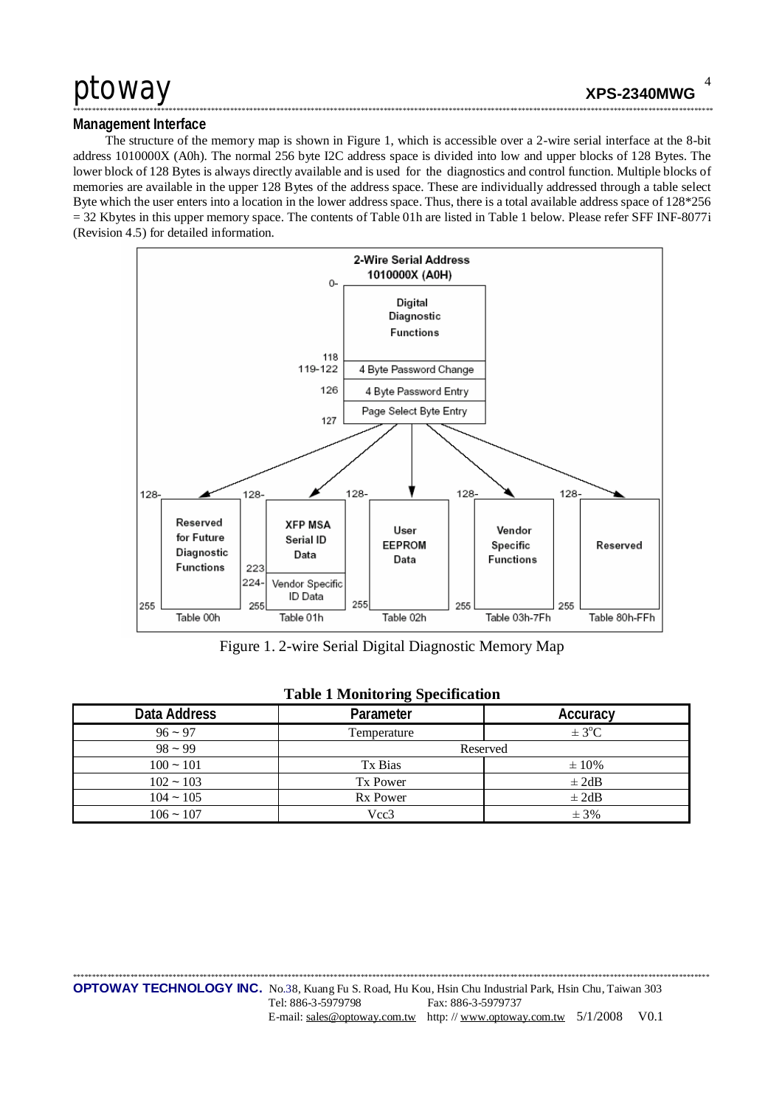### Management Interface

The structure of the memory map is shown in Figure 1, which is accessible over a 2-wire serial interface at the 8-bit address 1010000X (A0h). The normal 256 byte I2C address space is divided into low and upper blocks of 128 Bytes. The lower block of 128 Bytes is always directly available and is used for the diagnostics and control function. Multiple blocks of memories are available in the upper 128 Bytes of the address space. These are individually addressed through a table select Byte which the user enters into a location in the lower address space. Thus, there is a total available address space of 128\*256  $=$  32 Kbytes in this upper memory space. The contents of Table 01h are listed in Table 1 below. Please refer SFF INF-8077i (Revision 4.5) for detailed information.



Figure 1. 2-wire Serial Digital Diagnostic Memory Map

| Data Address | Parameter       | Accuracy   |
|--------------|-----------------|------------|
| $96 - 97$    | Temperature     | $\pm$ 3°C  |
| $98 - 99$    | Reserved        |            |
| $100 - 101$  | Tx Bias         | $\pm 10\%$ |
| $102 - 103$  | Tx Power        | $\pm 2dB$  |
| $104 - 105$  | <b>Rx Power</b> | $\pm 2dB$  |
| $106 - 107$  | Vcc3            | ± 3%       |

### **Table 1 Monitoring Specification**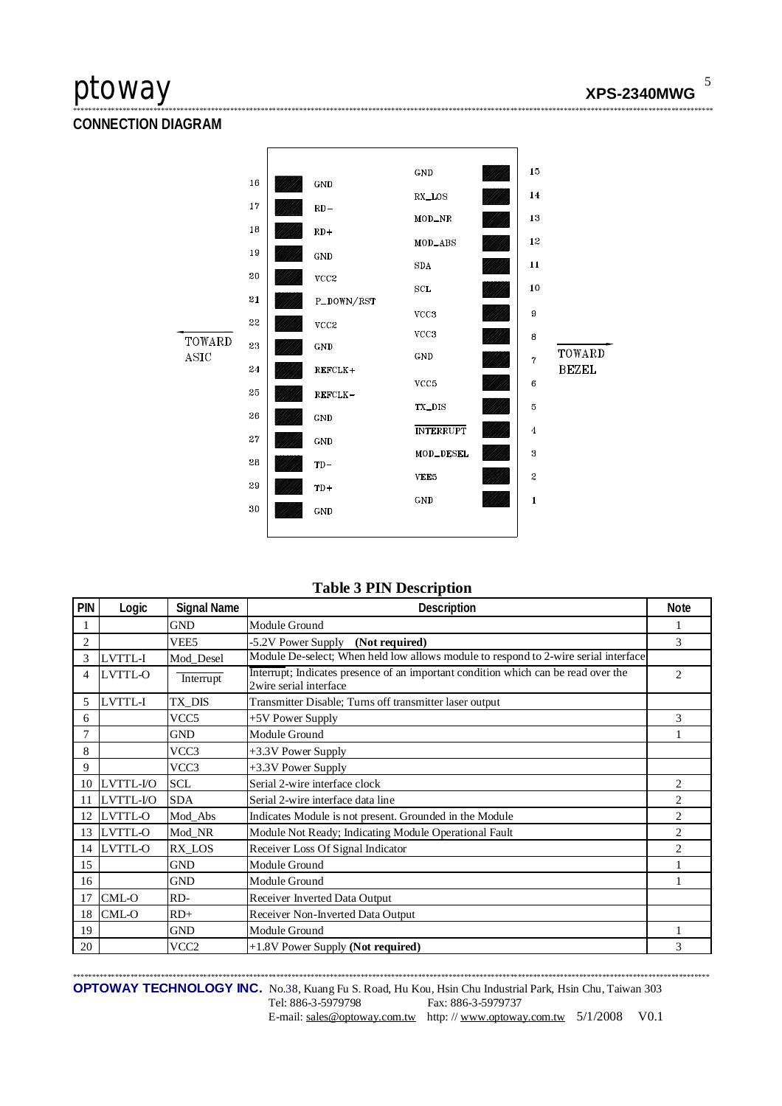5

**CONNECTION DIAGRAM** 



### **Table 3 PIN Description**

| PIN            | Logic          | <b>Signal Name</b> | Description                                                                                                  | <b>Note</b>    |
|----------------|----------------|--------------------|--------------------------------------------------------------------------------------------------------------|----------------|
|                |                | <b>GND</b>         | Module Ground                                                                                                |                |
| $\overline{2}$ |                | VEE5               | -5.2V Power Supply (Not required)                                                                            | 3              |
| 3              | LVTTL-I        | Mod Desel          | Module De-select; When held low allows module to respond to 2-wire serial interface                          |                |
| 4              | LVTTL-O        | Interrupt          | Interrupt; Indicates presence of an important condition which can be read over the<br>2wire serial interface | $\overline{c}$ |
| 5              | LVTTL-I        | TX_DIS             | Transmitter Disable; Turns off transmitter laser output                                                      |                |
| 6              |                | VCC <sub>5</sub>   | +5V Power Supply                                                                                             | 3              |
| $\overline{7}$ |                | <b>GND</b>         | Module Ground                                                                                                |                |
| 8              |                | VCC3               | +3.3V Power Supply                                                                                           |                |
| 9              |                | VCC3               | +3.3V Power Supply                                                                                           |                |
| 10             | LVTTL-I/O      | <b>SCL</b>         | Serial 2-wire interface clock                                                                                | 2              |
| 11             | LVTTL-I/O      | <b>SDA</b>         | Serial 2-wire interface data line                                                                            | 2              |
| 12             | LVTTL-O        | Mod Abs            | Indicates Module is not present. Grounded in the Module                                                      | 2              |
| 13             | <b>LVTTL-O</b> | Mod_NR             | Module Not Ready; Indicating Module Operational Fault                                                        | $\overline{c}$ |
| 14             | LVTTL-O        | RX_LOS             | Receiver Loss Of Signal Indicator                                                                            | $\overline{c}$ |
| 15             |                | <b>GND</b>         | Module Ground                                                                                                |                |
| 16             |                | <b>GND</b>         | Module Ground                                                                                                |                |
| 17             | CML-O          | RD-                | Receiver Inverted Data Output                                                                                |                |
| 18             | CML-O          | $RD+$              | Receiver Non-Inverted Data Output                                                                            |                |
| 19             |                | <b>GND</b>         | Module Ground                                                                                                |                |
| 20             |                | VCC2               | +1.8V Power Supply (Not required)                                                                            | 3              |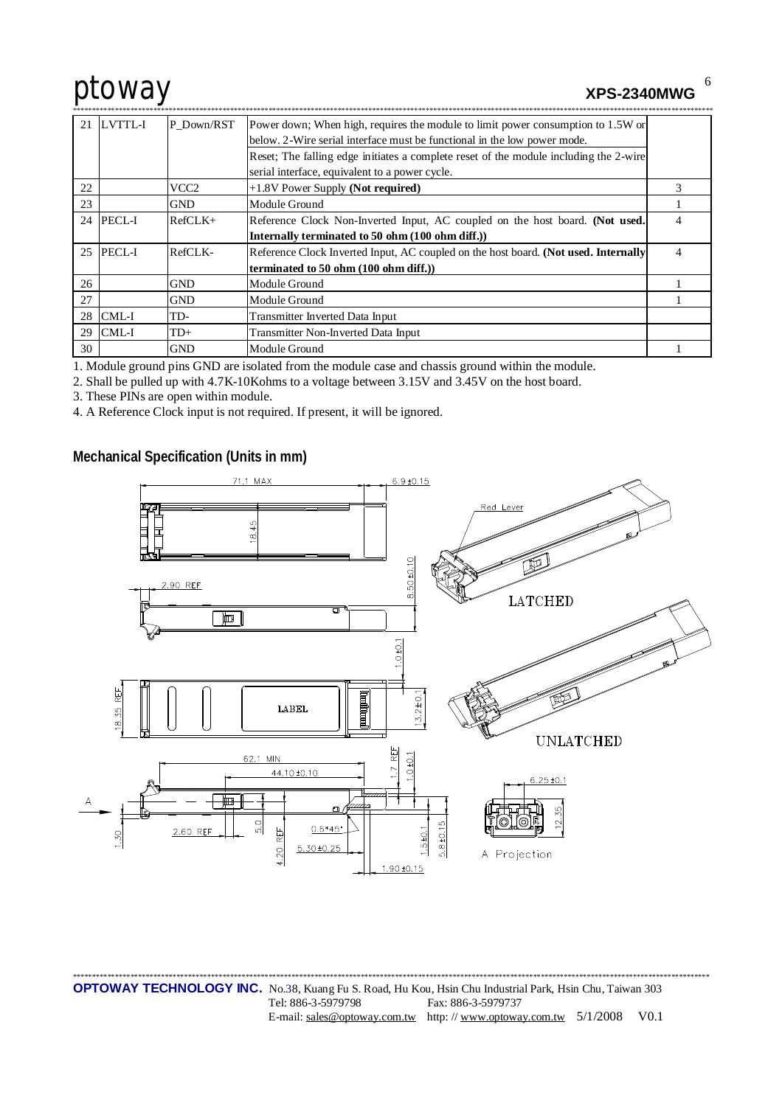**XPS-2340MWG** 

6

| 21 | <b>LVTTL-I</b> | P Down/RST | Power down; When high, requires the module to limit power consumption to 1.5W or      |   |
|----|----------------|------------|---------------------------------------------------------------------------------------|---|
|    |                |            | below. 2-Wire serial interface must be functional in the low power mode.              |   |
|    |                |            | Reset; The falling edge initiates a complete reset of the module including the 2-wire |   |
|    |                |            | serial interface, equivalent to a power cycle.                                        |   |
| 22 |                | VCC2       | +1.8V Power Supply (Not required)                                                     | 3 |
| 23 |                | <b>GND</b> | Module Ground                                                                         |   |
|    | 24 PECL-I      | $RefCLK+$  | Reference Clock Non-Inverted Input, AC coupled on the host board. (Not used.          | 4 |
|    |                |            | Internally terminated to 50 ohm (100 ohm diff.))                                      |   |
|    | 25 PECL-I      | RefCLK-    | Reference Clock Inverted Input, AC coupled on the host board. (Not used. Internally   | 4 |
|    |                |            | terminated to 50 ohm (100 ohm diff.))                                                 |   |
| 26 |                | <b>GND</b> | Module Ground                                                                         |   |
| 27 |                | <b>GND</b> | Module Ground                                                                         |   |
|    | $28$ CML-I     | TD-        | Transmitter Inverted Data Input                                                       |   |
| 29 | CML-I          | $TD+$      | Transmitter Non-Inverted Data Input                                                   |   |
| 30 |                | <b>GND</b> | Module Ground                                                                         |   |

1. Module ground pins GND are isolated from the module case and chassis ground within the module.

2. Shall be pulled up with 4.7K-10Kohms to a voltage between 3.15V and 3.45V on the host board.

3. These PINs are open within module.

4. A Reference Clock input is not required. If present, it will be ignored.

Mechanical Specification (Units in mm)

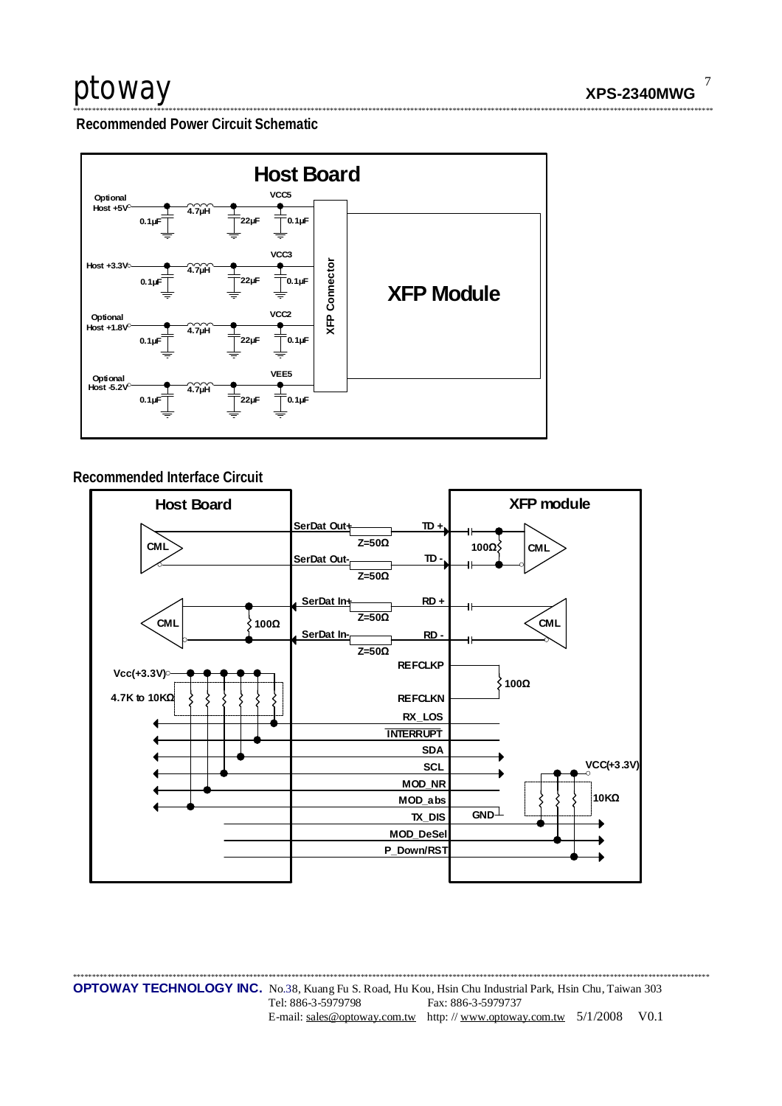Recommended Power Circuit Schematic



### Recommended Interface Circuit

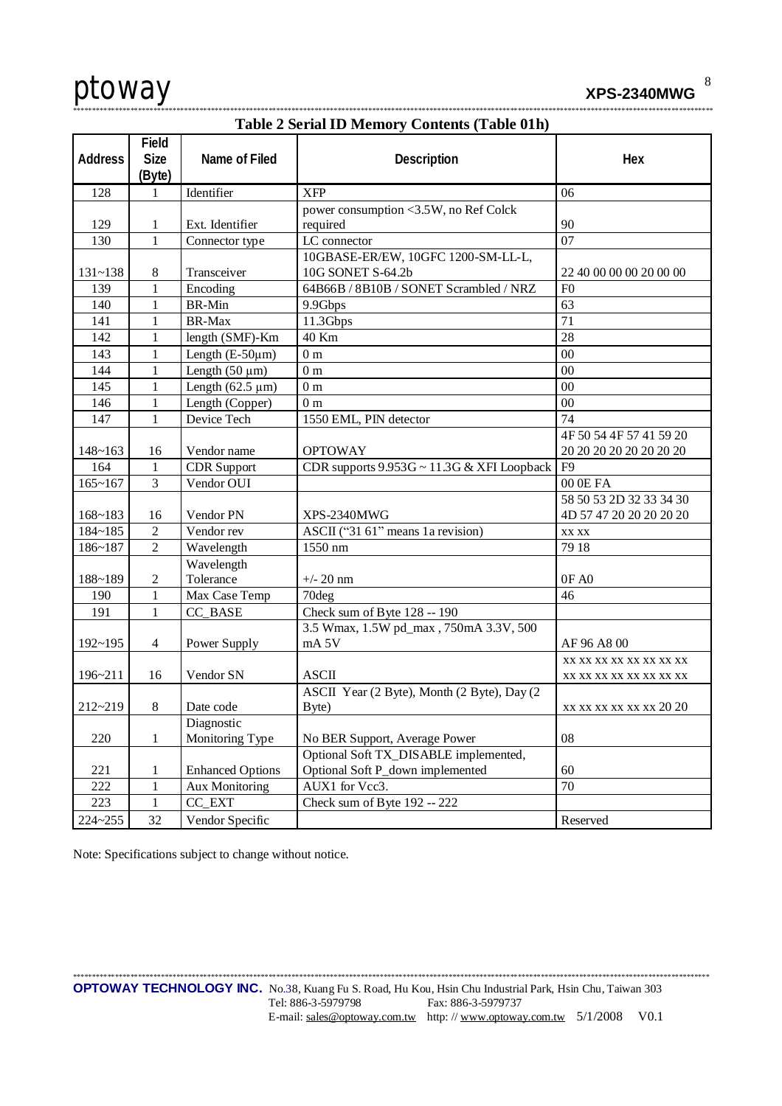

|  | --- | __ | ----------- |  |  |  |  |
|--|-----|----|-------------|--|--|--|--|
|  |     |    |             |  |  |  |  |
|  |     |    |             |  |  |  |  |

|             |                                |                         | Table 2 Serial ID Memory Contents (Table 01h)    |                         |
|-------------|--------------------------------|-------------------------|--------------------------------------------------|-------------------------|
| Address     | Field<br><b>Size</b><br>(Byte) | Name of Filed           | Description                                      | Hex                     |
| 128         | 1                              | Identifier              | <b>XFP</b>                                       | 06                      |
|             |                                |                         | power consumption <3.5W, no Ref Colck            |                         |
| 129         | 1                              | Ext. Identifier         | required                                         | 90                      |
| 130         | $\mathbf{1}$                   | Connector type          | LC connector                                     | 07                      |
|             |                                |                         | 10GBASE-ER/EW, 10GFC 1200-SM-LL-L,               |                         |
| $131 - 138$ | 8                              | Transceiver             | 10G SONET S-64.2b                                | 22 40 00 00 00 20 00 00 |
| 139         | 1                              | Encoding                | 64B66B / 8B10B / SONET Scrambled / NRZ           | F <sub>0</sub>          |
| 140         | 1                              | <b>BR-Min</b>           | 9.9Gbps                                          | 63                      |
| 141         | 1                              | BR-Max                  | 11.3Gbps                                         | 71                      |
| 142         | 1                              | length (SMF)-Km         | 40 Km                                            | 28                      |
| 143         | 1                              | Length $(E-50\mu m)$    | 0 <sub>m</sub>                                   | 00                      |
| 144         | 1                              | Length $(50 \mu m)$     | 0 <sub>m</sub>                                   | 00                      |
| 145         | 1                              | Length $(62.5 \mu m)$   | 0 <sub>m</sub>                                   | 00                      |
| 146         | 1                              | Length (Copper)         | 0 <sub>m</sub>                                   | 00                      |
| 147         | 1                              | Device Tech             | 1550 EML, PIN detector                           | 74                      |
|             |                                |                         |                                                  | 4F 50 54 4F 57 41 59 20 |
| $148 - 163$ | 16                             | Vendor name             | <b>OPTOWAY</b>                                   | 20 20 20 20 20 20 20 20 |
| 164         | $\mathbf{1}$                   | <b>CDR</b> Support      | CDR supports $9.953G \sim 11.3G \& XFI$ Loopback | F <sub>9</sub>          |
| $165 - 167$ | 3                              | Vendor OUI              |                                                  | 00 0E FA                |
|             |                                |                         |                                                  | 58 50 53 2D 32 33 34 30 |
| $168 - 183$ | 16                             | Vendor PN               | XPS-2340MWG                                      | 4D 57 47 20 20 20 20 20 |
| 184~185     | $\overline{c}$                 | Vendor rev              | ASCII ("31 61" means 1a revision)                | XX XX                   |
| 186~187     | $\overline{c}$                 | Wavelength              | 1550 nm                                          | 79 18                   |
|             |                                | Wavelength              |                                                  |                         |
| 188~189     | $\overline{c}$                 | Tolerance               | $+/- 20$ nm                                      | OF AO                   |
| 190         | 1                              | Max Case Temp           | 70deg                                            | 46                      |
| 191         | 1                              | CC_BASE                 | Check sum of Byte 128 -- 190                     |                         |
|             |                                |                         | 3.5 Wmax, 1.5W pd_max, 750mA 3.3V, 500           |                         |
| $192 - 195$ | 4                              | Power Supply            | mA <sub>5V</sub>                                 | AF 96 A8 00             |
|             |                                |                         |                                                  | XX XX XX XX XX XX XX XX |
| 196~211     | 16                             | Vendor SN               | <b>ASCII</b>                                     | XX XX XX XX XX XX XX XX |
|             |                                |                         | ASCII Year (2 Byte), Month (2 Byte), Day (2      |                         |
| $212 - 219$ | $8\,$                          | Date code               | Byte)                                            | xx xx xx xx xx xx 20 20 |
|             |                                | Diagnostic              |                                                  |                         |
| 220         | 1                              | Monitoring Type         | No BER Support, Average Power                    | 08                      |
|             |                                |                         | Optional Soft TX_DISABLE implemented,            |                         |
| 221         | 1                              | <b>Enhanced Options</b> | Optional Soft P_down implemented                 | 60                      |
| 222         | 1                              | <b>Aux Monitoring</b>   | AUX1 for Vcc3.                                   | 70                      |
| 223         | 1                              | CC EXT                  | Check sum of Byte 192 -- 222                     |                         |
| 224~255     | 32                             | Vendor Specific         |                                                  | Reserved                |

## Toble 2 Seriel ID Memory Contents (Toble 01b)

Note: Specifications subject to change without notice.